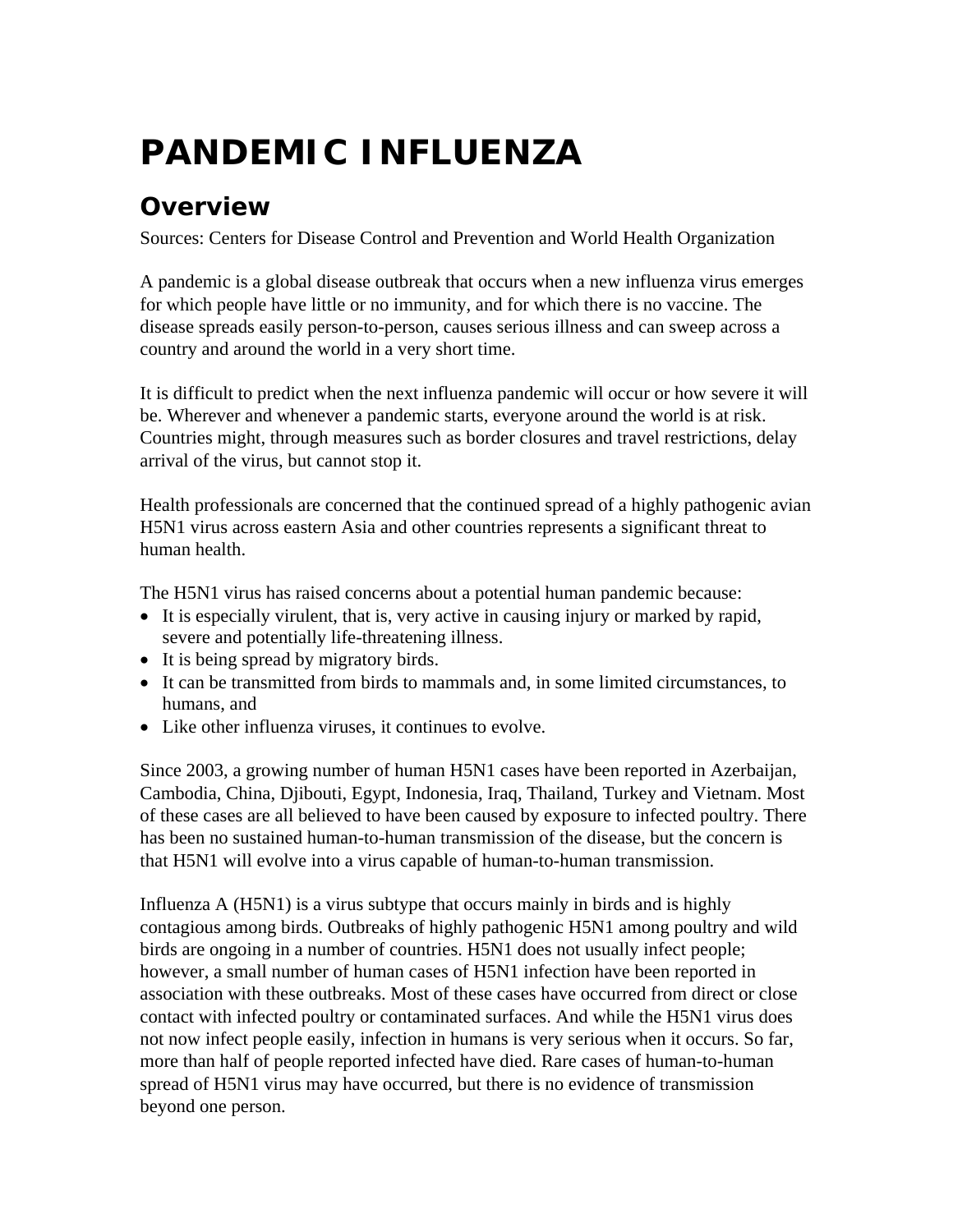# **PANDEMIC INFLUENZA**

## **Overview**

Sources: Centers for Disease Control and Prevention and World Health Organization

A pandemic is a global disease outbreak that occurs when a new influenza virus emerges for which people have little or no immunity, and for which there is no vaccine. The disease spreads easily person-to-person, causes serious illness and can sweep across a country and around the world in a very short time.

It is difficult to predict when the next influenza pandemic will occur or how severe it will be. Wherever and whenever a pandemic starts, everyone around the world is at risk. Countries might, through measures such as border closures and travel restrictions, delay arrival of the virus, but cannot stop it.

Health professionals are concerned that the continued spread of a highly pathogenic avian H5N1 virus across eastern Asia and other countries represents a significant threat to human health.

The H5N1 virus has raised concerns about a potential human pandemic because:

- It is especially virulent, that is, very active in causing injury or marked by rapid, severe and potentially life-threatening illness.
- It is being spread by migratory birds.
- It can be transmitted from birds to mammals and, in some limited circumstances, to humans, and
- Like other influenza viruses, it continues to evolve.

Since 2003, a growing number of human H5N1 cases have been reported in Azerbaijan, Cambodia, China, Djibouti, Egypt, Indonesia, Iraq, Thailand, Turkey and Vietnam. Most of these cases are all believed to have been caused by exposure to infected poultry. There has been no sustained human-to-human transmission of the disease, but the concern is that H5N1 will evolve into a virus capable of human-to-human transmission.

Influenza A (H5N1) is a virus subtype that occurs mainly in birds and is highly contagious among birds. Outbreaks of highly pathogenic H5N1 among poultry and wild birds are ongoing in a number of countries. H5N1 does not usually infect people; however, a small number of human cases of H5N1 infection have been reported in association with these outbreaks. Most of these cases have occurred from direct or close contact with infected poultry or contaminated surfaces. And while the H5N1 virus does not now infect people easily, infection in humans is very serious when it occurs. So far, more than half of people reported infected have died. Rare cases of human-to-human spread of H5N1 virus may have occurred, but there is no evidence of transmission beyond one person.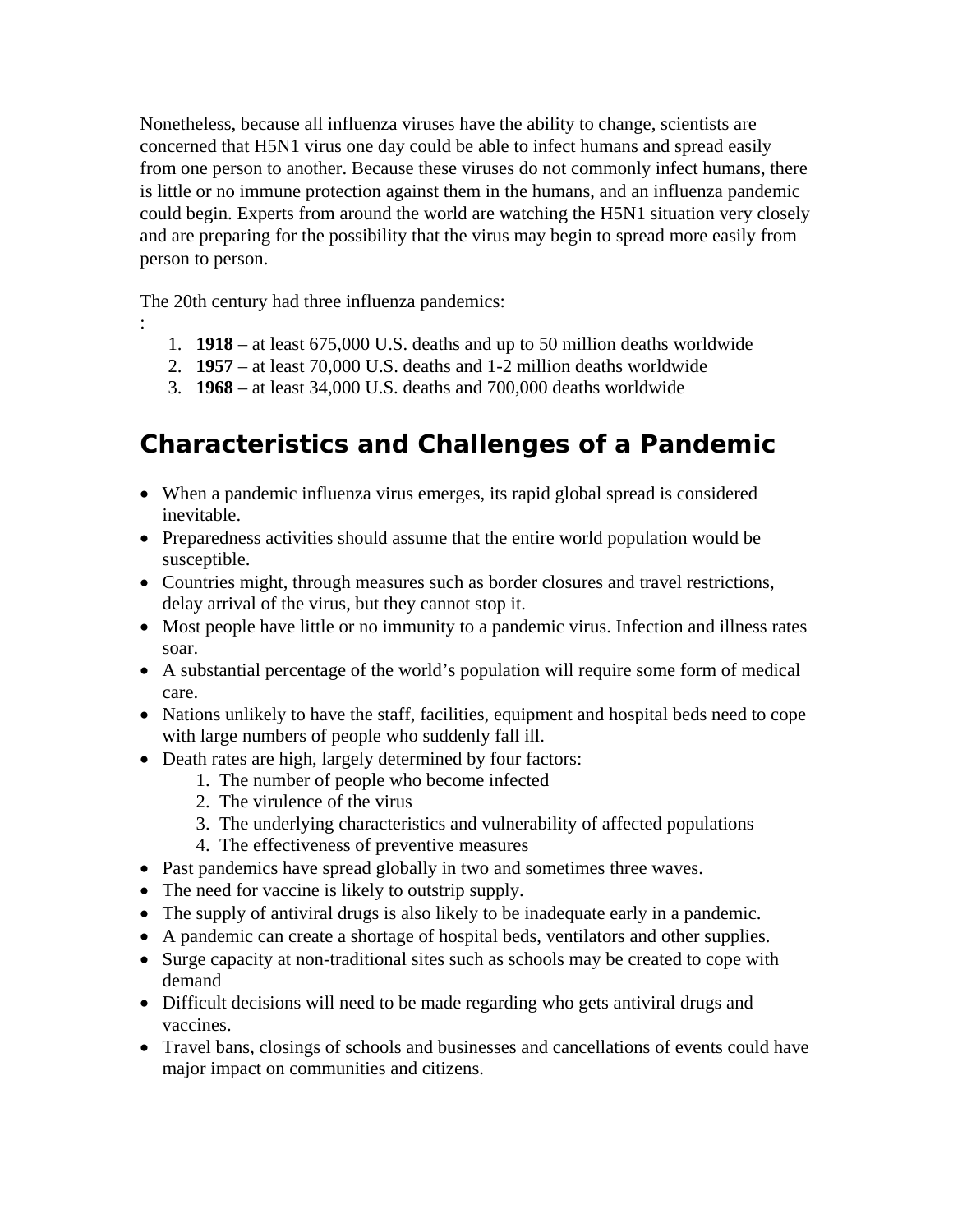Nonetheless, because all influenza viruses have the ability to change, scientists are concerned that H5N1 virus one day could be able to infect humans and spread easily from one person to another. Because these viruses do not commonly infect humans, there is little or no immune protection against them in the humans, and an influenza pandemic could begin. Experts from around the world are watching the H5N1 situation very closely and are preparing for the possibility that the virus may begin to spread more easily from person to person.

The 20th century had three influenza pandemics:

:

- 1. **1918**  at least 675,000 U.S. deaths and up to 50 million deaths worldwide
- 2. **1957** at least 70,000 U.S. deaths and 1-2 million deaths worldwide
- 3. **1968** at least 34,000 U.S. deaths and 700,000 deaths worldwide

## **Characteristics and Challenges of a Pandemic**

- When a pandemic influenza virus emerges, its rapid global spread is considered inevitable.
- Preparedness activities should assume that the entire world population would be susceptible.
- Countries might, through measures such as border closures and travel restrictions, delay arrival of the virus, but they cannot stop it.
- Most people have little or no immunity to a pandemic virus. Infection and illness rates soar.
- A substantial percentage of the world's population will require some form of medical care.
- Nations unlikely to have the staff, facilities, equipment and hospital beds need to cope with large numbers of people who suddenly fall ill.
- Death rates are high, largely determined by four factors:
	- 1. The number of people who become infected
	- 2. The virulence of the virus
	- 3. The underlying characteristics and vulnerability of affected populations
	- 4. The effectiveness of preventive measures
- Past pandemics have spread globally in two and sometimes three waves.
- The need for vaccine is likely to outstrip supply.
- The supply of antiviral drugs is also likely to be inadequate early in a pandemic.
- A pandemic can create a shortage of hospital beds, ventilators and other supplies.
- Surge capacity at non-traditional sites such as schools may be created to cope with demand
- Difficult decisions will need to be made regarding who gets antiviral drugs and vaccines.
- Travel bans, closings of schools and businesses and cancellations of events could have major impact on communities and citizens.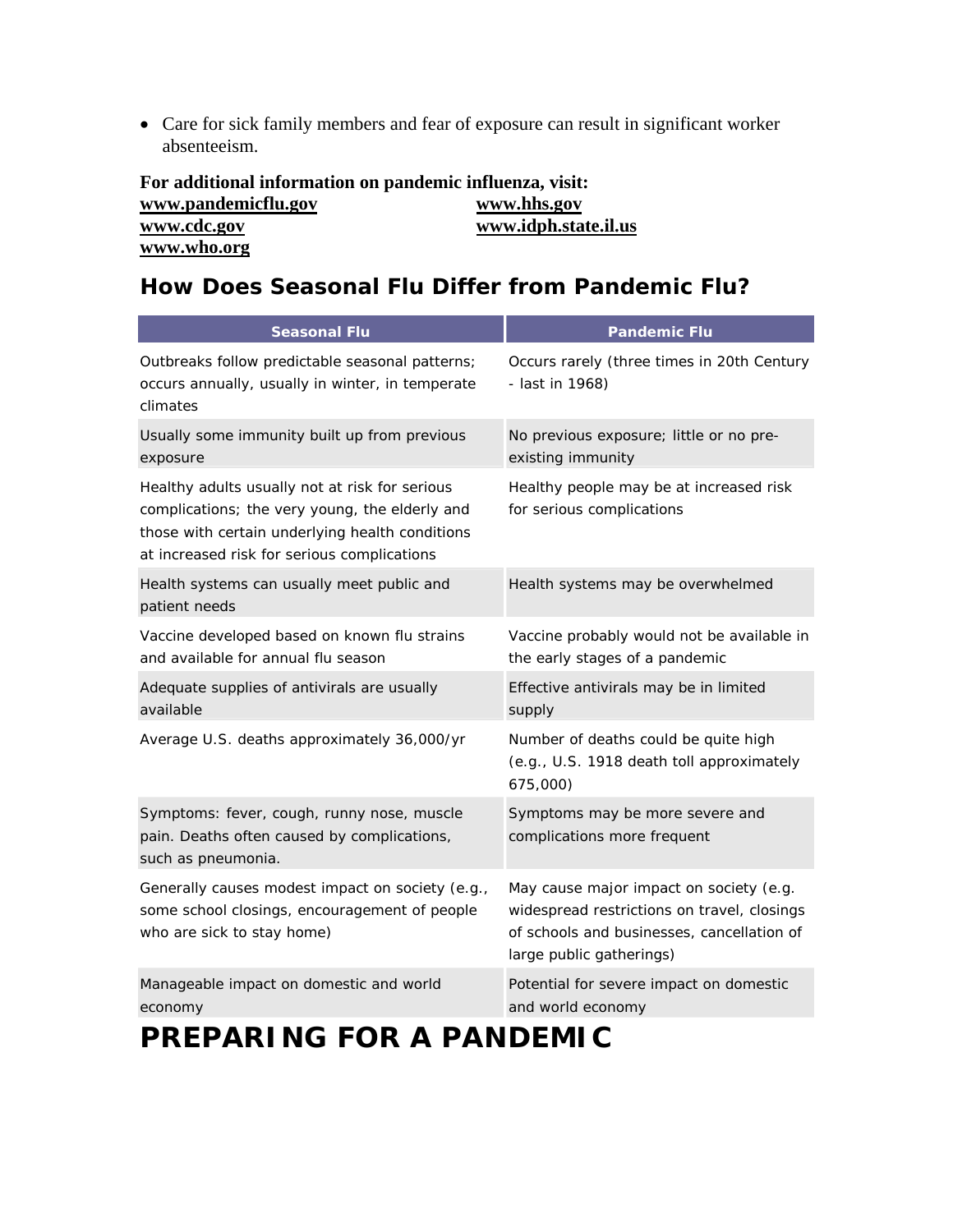• Care for sick family members and fear of exposure can result in significant worker absenteeism.

| For additional information on pandemic influenza, visit: |                      |
|----------------------------------------------------------|----------------------|
| www.pandemicflu.gov                                      | www.hhs.gov          |
| www.cdc.gov                                              | www.idph.state.il.us |
| www.who.org                                              |                      |

#### **How Does Seasonal Flu Differ from Pandemic Flu?**

| <b>Seasonal Flu</b>                                                                                                                                                                                | <b>Pandemic Flu</b>                                                                                                                                              |
|----------------------------------------------------------------------------------------------------------------------------------------------------------------------------------------------------|------------------------------------------------------------------------------------------------------------------------------------------------------------------|
| Outbreaks follow predictable seasonal patterns;<br>occurs annually, usually in winter, in temperate<br>climates                                                                                    | Occurs rarely (three times in 20th Century<br>- last in 1968)                                                                                                    |
| Usually some immunity built up from previous<br>exposure                                                                                                                                           | No previous exposure; little or no pre-<br>existing immunity                                                                                                     |
| Healthy adults usually not at risk for serious<br>complications; the very young, the elderly and<br>those with certain underlying health conditions<br>at increased risk for serious complications | Healthy people may be at increased risk<br>for serious complications                                                                                             |
| Health systems can usually meet public and<br>patient needs                                                                                                                                        | Health systems may be overwhelmed                                                                                                                                |
| Vaccine developed based on known flu strains<br>and available for annual flu season                                                                                                                | Vaccine probably would not be available in<br>the early stages of a pandemic                                                                                     |
| Adequate supplies of antivirals are usually<br>available                                                                                                                                           | Effective antivirals may be in limited<br>supply                                                                                                                 |
| Average U.S. deaths approximately 36,000/yr                                                                                                                                                        | Number of deaths could be quite high<br>(e.g., U.S. 1918 death toll approximately<br>675,000)                                                                    |
| Symptoms: fever, cough, runny nose, muscle<br>pain. Deaths often caused by complications,<br>such as pneumonia.                                                                                    | Symptoms may be more severe and<br>complications more frequent                                                                                                   |
| Generally causes modest impact on society (e.g.,<br>some school closings, encouragement of people<br>who are sick to stay home)                                                                    | May cause major impact on society (e.g.<br>widespread restrictions on travel, closings<br>of schools and businesses, cancellation of<br>large public gatherings) |
| Manageable impact on domestic and world<br>economy                                                                                                                                                 | Potential for severe impact on domestic<br>and world economy                                                                                                     |
| RENIIA<br>RRFRARINI                                                                                                                                                                                |                                                                                                                                                                  |

## **PREPARING FOR A PANDEMIC**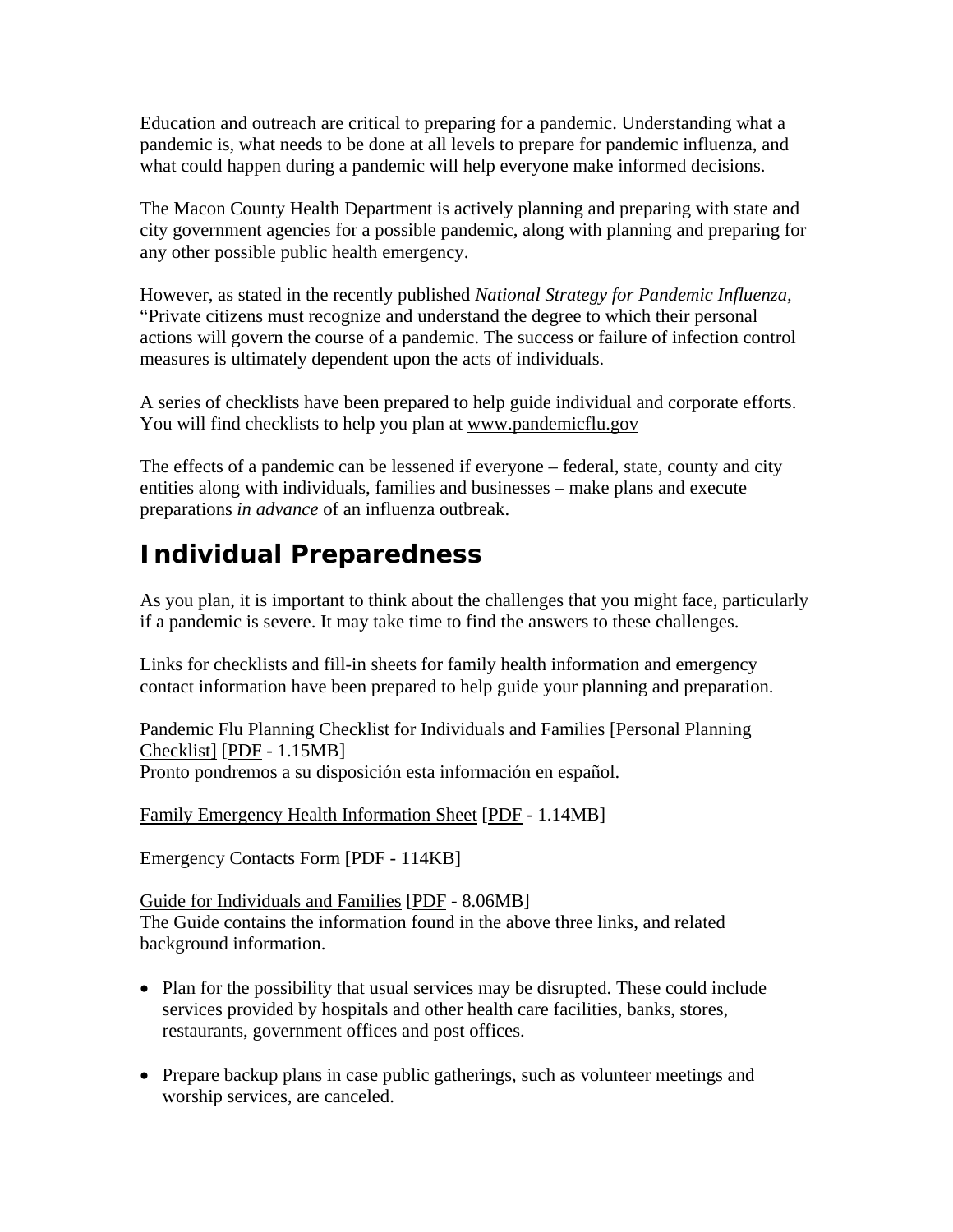Education and outreach are critical to preparing for a pandemic. Understanding what a pandemic is, what needs to be done at all levels to prepare for pandemic influenza, and what could happen during a pandemic will help everyone make informed decisions.

The Macon County Health Department is actively planning and preparing with state and city government agencies for a possible pandemic, along with planning and preparing for any other possible public health emergency.

However, as stated in the recently published *National Strategy for Pandemic Influenza,*  "Private citizens must recognize and understand the degree to which their personal actions will govern the course of a pandemic. The success or failure of infection control measures is ultimately dependent upon the acts of individuals.

A series of checklists have been prepared to help guide individual and corporate efforts. You will find checklists to help you plan at www.pandemicflu.gov

The effects of a pandemic can be lessened if everyone – federal, state, county and city entities along with individuals, families and businesses – make plans and execute preparations *in advance* of an influenza outbreak.

## **Individual Preparedness**

As you plan, it is important to think about the challenges that you might face, particularly if a pandemic is severe. It may take time to find the answers to these challenges.

Links for checklists and fill-in sheets for family health information and emergency contact information have been prepared to help guide your planning and preparation.

Pandemic Flu Planning Checklist for Individuals and Families [Personal Planning Checklist] [PDF - 1.15MB] Pronto pondremos a su disposición esta información en español.

Family Emergency Health Information Sheet [PDF - 1.14MB]

Emergency Contacts Form [PDF - 114KB]

Guide for Individuals and Families [PDF - 8.06MB] The Guide contains the information found in the above three links, and related background information.

- Plan for the possibility that usual services may be disrupted. These could include services provided by hospitals and other health care facilities, banks, stores, restaurants, government offices and post offices.
- Prepare backup plans in case public gatherings, such as volunteer meetings and worship services, are canceled.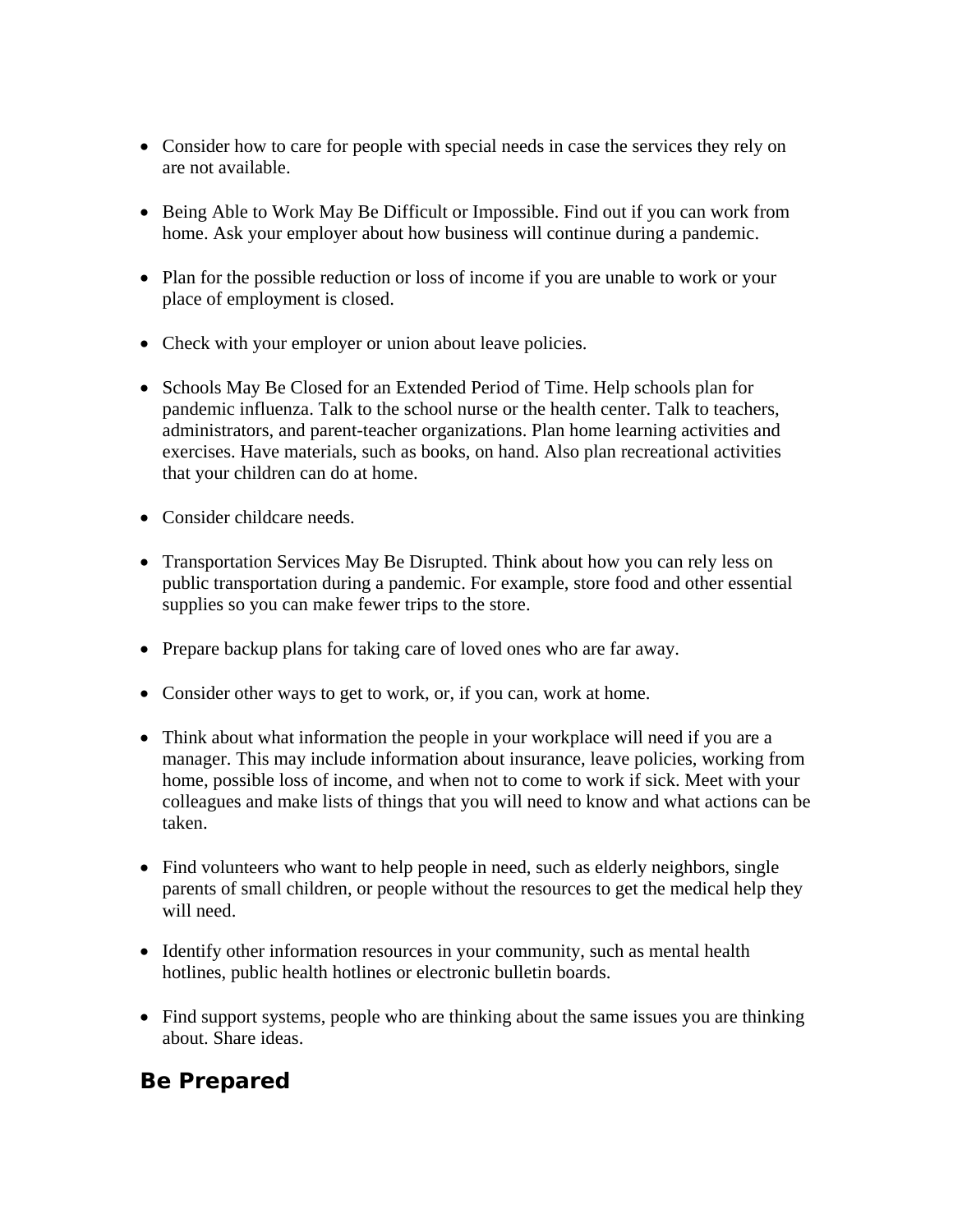- Consider how to care for people with special needs in case the services they rely on are not available.
- Being Able to Work May Be Difficult or Impossible. Find out if you can work from home. Ask your employer about how business will continue during a pandemic.
- Plan for the possible reduction or loss of income if you are unable to work or your place of employment is closed.
- Check with your employer or union about leave policies.
- Schools May Be Closed for an Extended Period of Time. Help schools plan for pandemic influenza. Talk to the school nurse or the health center. Talk to teachers, administrators, and parent-teacher organizations. Plan home learning activities and exercises. Have materials, such as books, on hand. Also plan recreational activities that your children can do at home.
- Consider childcare needs.
- Transportation Services May Be Disrupted. Think about how you can rely less on public transportation during a pandemic. For example, store food and other essential supplies so you can make fewer trips to the store.
- Prepare backup plans for taking care of loved ones who are far away.
- Consider other ways to get to work, or, if you can, work at home.
- Think about what information the people in your workplace will need if you are a manager. This may include information about insurance, leave policies, working from home, possible loss of income, and when not to come to work if sick. Meet with your colleagues and make lists of things that you will need to know and what actions can be taken.
- Find volunteers who want to help people in need, such as elderly neighbors, single parents of small children, or people without the resources to get the medical help they will need.
- Identify other information resources in your community, such as mental health hotlines, public health hotlines or electronic bulletin boards.
- Find support systems, people who are thinking about the same issues you are thinking about. Share ideas.

#### **Be Prepared**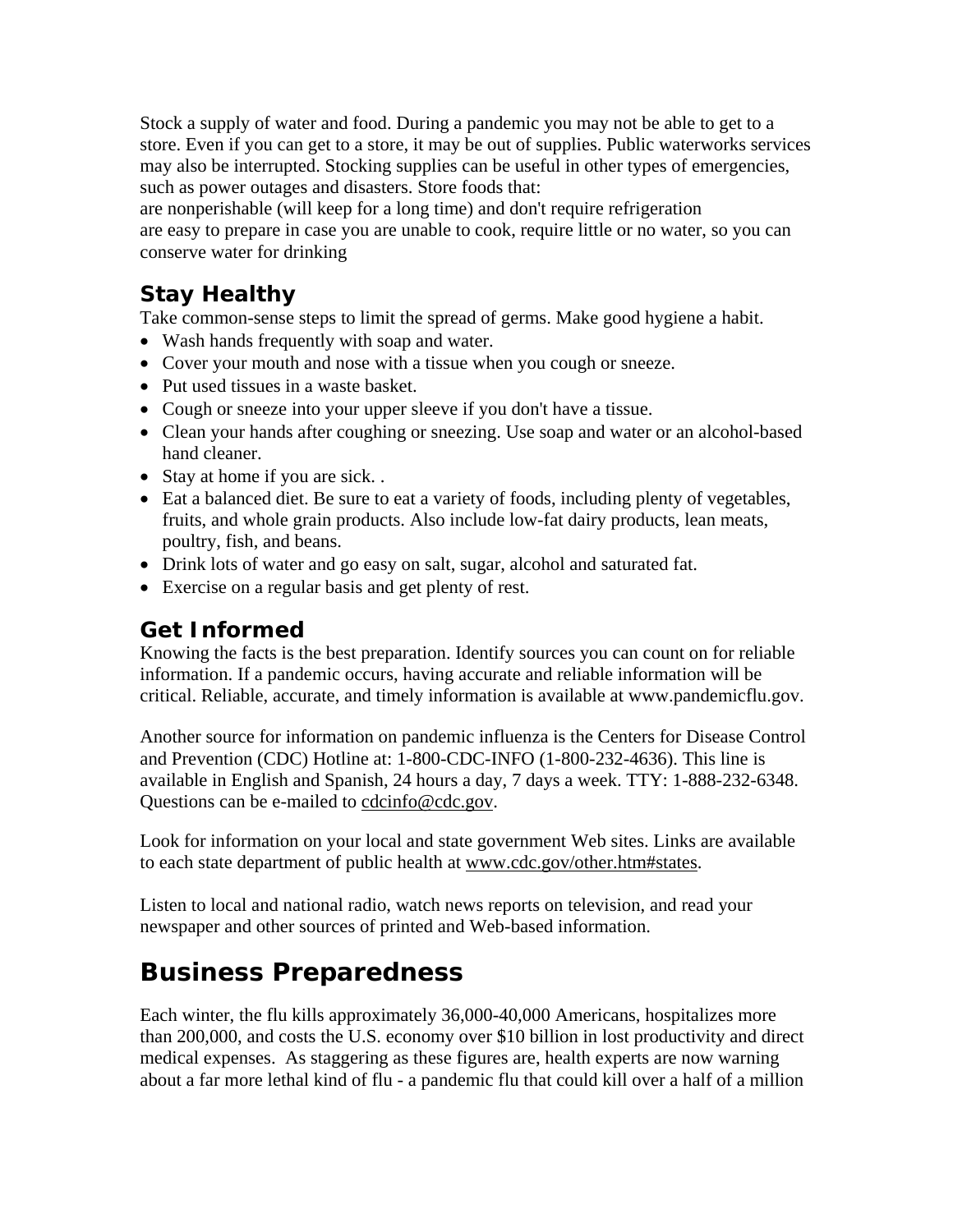Stock a supply of water and food. During a pandemic you may not be able to get to a store. Even if you can get to a store, it may be out of supplies. Public waterworks services may also be interrupted. Stocking supplies can be useful in other types of emergencies, such as power outages and disasters. Store foods that:

are nonperishable (will keep for a long time) and don't require refrigeration are easy to prepare in case you are unable to cook, require little or no water, so you can conserve water for drinking

#### **Stay Healthy**

Take common-sense steps to limit the spread of germs. Make good hygiene a habit.

- Wash hands frequently with soap and water.
- Cover your mouth and nose with a tissue when you cough or sneeze.
- Put used tissues in a waste basket.
- Cough or sneeze into your upper sleeve if you don't have a tissue.
- Clean your hands after coughing or sneezing. Use soap and water or an alcohol-based hand cleaner.
- Stay at home if you are sick...
- Eat a balanced diet. Be sure to eat a variety of foods, including plenty of vegetables, fruits, and whole grain products. Also include low-fat dairy products, lean meats, poultry, fish, and beans.
- Drink lots of water and go easy on salt, sugar, alcohol and saturated fat.
- Exercise on a regular basis and get plenty of rest.

### **Get Informed**

Knowing the facts is the best preparation. Identify sources you can count on for reliable information. If a pandemic occurs, having accurate and reliable information will be critical. Reliable, accurate, and timely information is available at www.pandemicflu.gov.

Another source for information on pandemic influenza is the Centers for Disease Control and Prevention (CDC) Hotline at: 1-800-CDC-INFO (1-800-232-4636). This line is available in English and Spanish, 24 hours a day, 7 days a week. TTY: 1-888-232-6348. Questions can be e-mailed to cdcinfo@cdc.gov.

Look for information on your local and state government Web sites. Links are available to each state department of public health at www.cdc.gov/other.htm#states.

Listen to local and national radio, watch news reports on television, and read your newspaper and other sources of printed and Web-based information.

## **Business Preparedness**

Each winter, the flu kills approximately 36,000-40,000 Americans, hospitalizes more than 200,000, and costs the U.S. economy over \$10 billion in lost productivity and direct medical expenses. As staggering as these figures are, health experts are now warning about a far more lethal kind of flu - a pandemic flu that could kill over a half of a million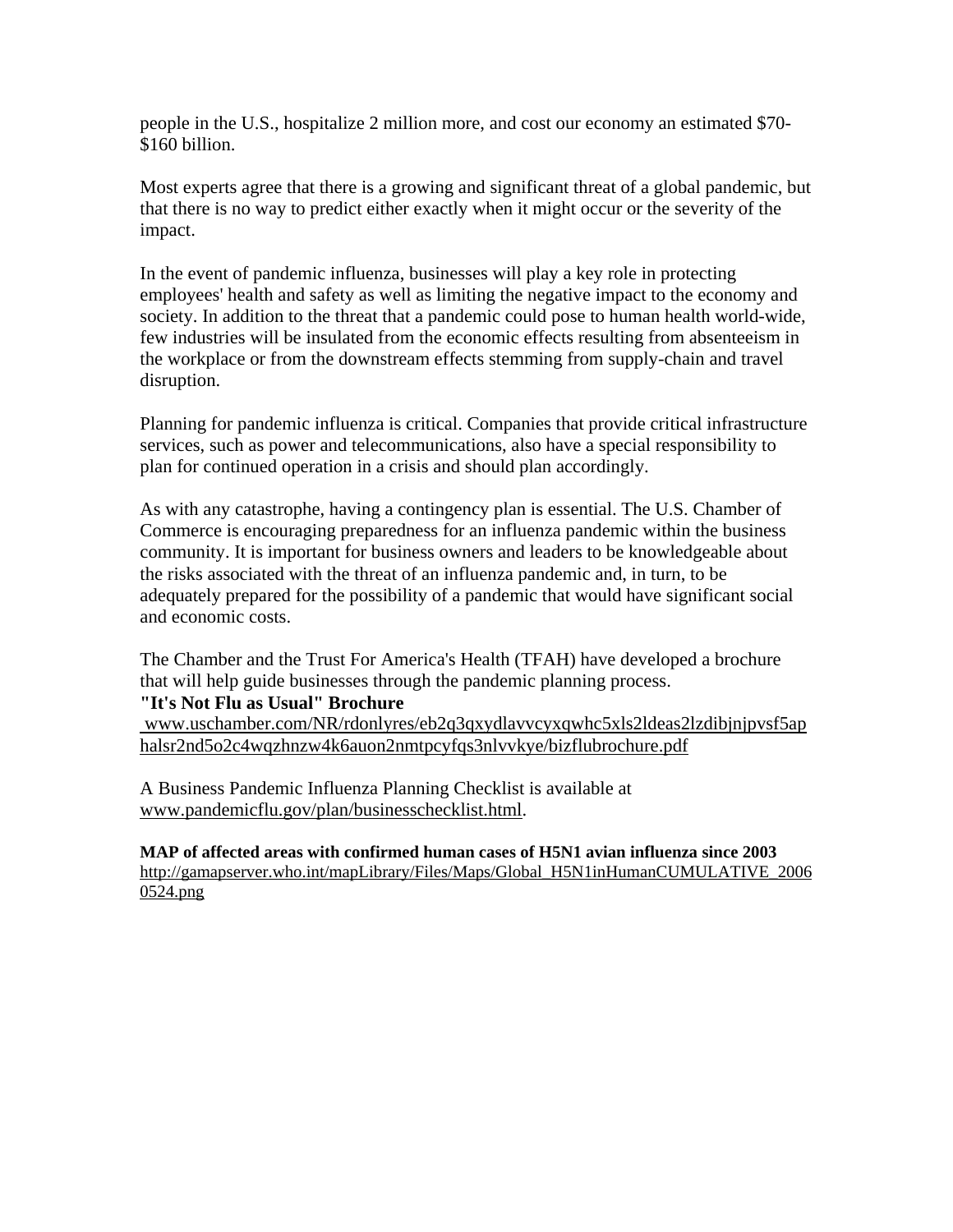people in the U.S., hospitalize 2 million more, and cost our economy an estimated \$70- \$160 billion.

Most experts agree that there is a growing and significant threat of a global pandemic, but that there is no way to predict either exactly when it might occur or the severity of the impact.

In the event of pandemic influenza, businesses will play a key role in protecting employees' health and safety as well as limiting the negative impact to the economy and society. In addition to the threat that a pandemic could pose to human health world-wide, few industries will be insulated from the economic effects resulting from absenteeism in the workplace or from the downstream effects stemming from supply-chain and travel disruption.

Planning for pandemic influenza is critical. Companies that provide critical infrastructure services, such as power and telecommunications, also have a special responsibility to plan for continued operation in a crisis and should plan accordingly.

As with any catastrophe, having a contingency plan is essential. The U.S. Chamber of Commerce is encouraging preparedness for an influenza pandemic within the business community. It is important for business owners and leaders to be knowledgeable about the risks associated with the threat of an influenza pandemic and, in turn, to be adequately prepared for the possibility of a pandemic that would have significant social and economic costs.

The Chamber and the Trust For America's Health (TFAH) have developed a brochure that will help guide businesses through the pandemic planning process.

#### **"It's Not Flu as Usual" Brochure**

 www.uschamber.com/NR/rdonlyres/eb2q3qxydlavvcyxqwhc5xls2ldeas2lzdibjnjpvsf5ap halsr2nd5o2c4wqzhnzw4k6auon2nmtpcyfqs3nlvvkye/bizflubrochure.pdf

A Business Pandemic Influenza Planning Checklist is available at www.pandemicflu.gov/plan/businesschecklist.html.

**MAP of affected areas with confirmed human cases of H5N1 avian influenza since 2003**  http://gamapserver.who.int/mapLibrary/Files/Maps/Global\_H5N1inHumanCUMULATIVE\_2006 0524.png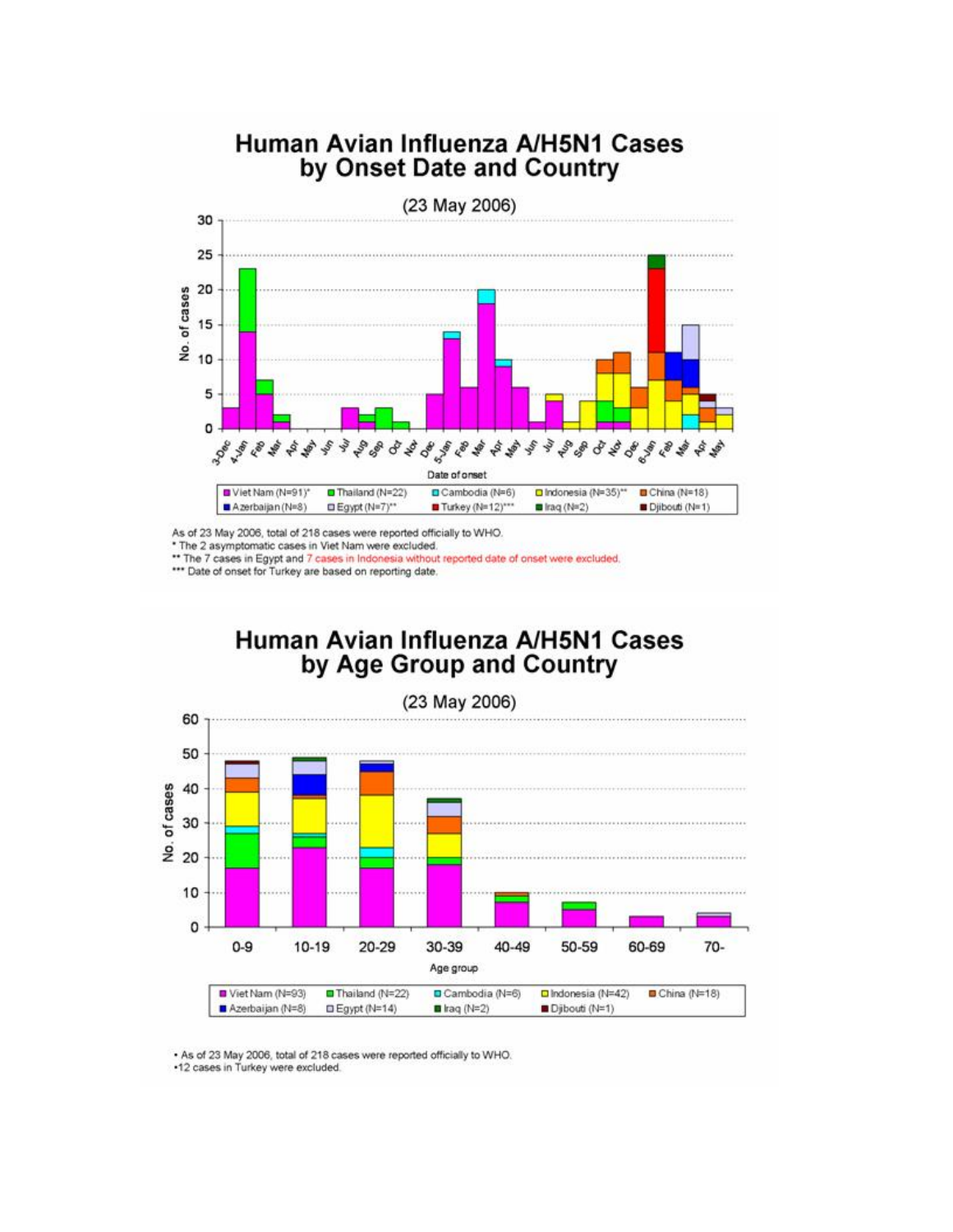

As of 23 May 2006, total of 218 cases were reported officially to WHO.<br>\* The 2 asymptomatic cases in Viet Nam were excluded.<br>\*\* The 7 cases in Egypt and 7 cases in Indonesia without reported date of onset were excluded.

\*\*\* Date of onset for Turkey are based on reporting date.

#### Human Avian Influenza A/H5N1 Cases by Age Group and Country



. As of 23 May 2006, total of 218 cases were reported officially to WHO.

•12 cases in Turkey were excluded.